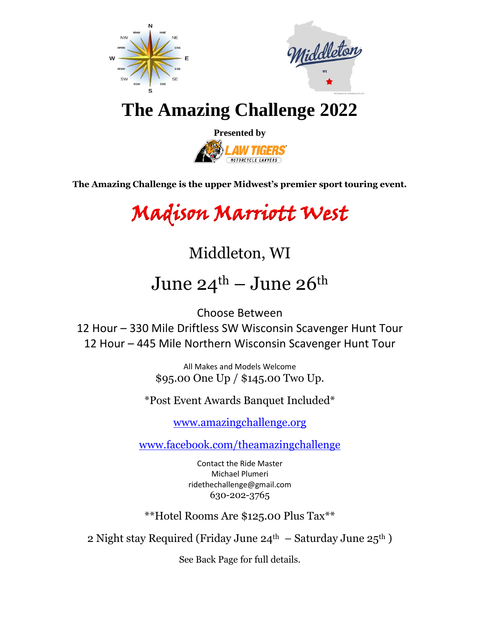



## **The Amazing Challenge 2022**



**The Amazing Challenge is the upper Midwest's premier sport touring event.**

# Madison Marriott West

### Middleton, WI

# June  $24^{\text{th}}$  – June  $26^{\text{th}}$

Choose Between

12 Hour – 330 Mile Driftless SW Wisconsin Scavenger Hunt Tour 12 Hour – 445 Mile Northern Wisconsin Scavenger Hunt Tour

> All Makes and Models Welcome \$95.00 One Up / \$145.00 Two Up.

\*Post Event Awards Banquet Included\*

[www.amazingchallenge.org](http://www.amazingchallenge.org/)

[www.facebook.com/theamazingchallenge](http://www.facebook.com/theamazingchallenge)

Contact the Ride Master Michael Plumeri ridethechallenge@gmail.com 630-202-3765

\*\*Hotel Rooms Are \$125.00 Plus Tax\*\*

2 Night stay Required (Friday June  $24<sup>th</sup>$  – Saturday June  $25<sup>th</sup>$ )

See Back Page for full details.